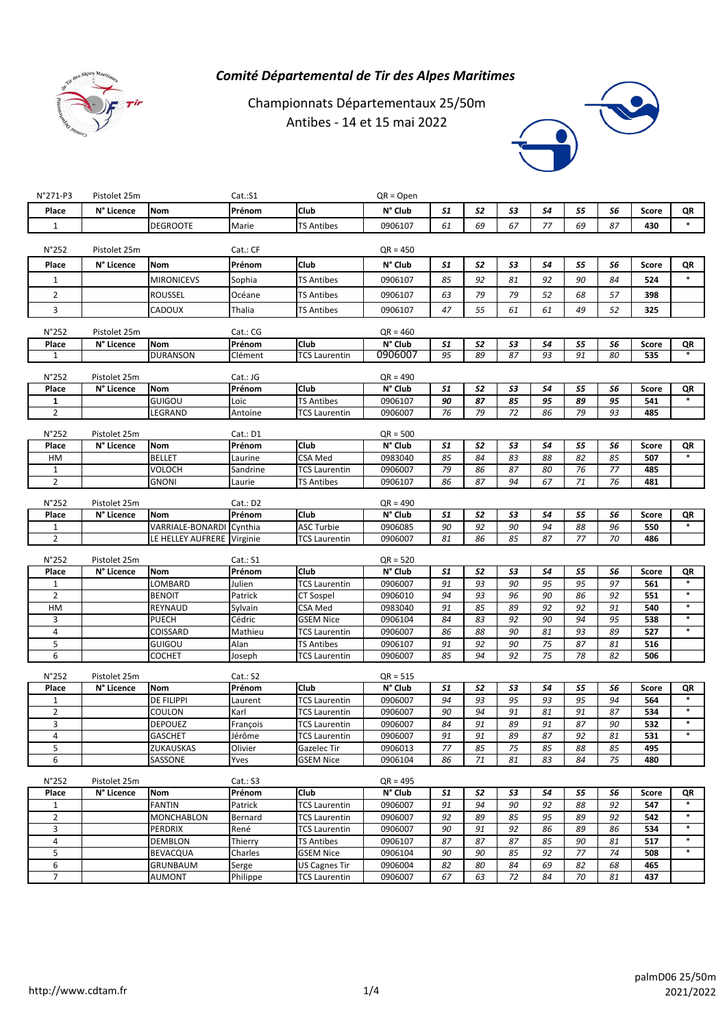

## *Comité Départemental de Tir des Alpes Maritimes*

Championnats Départementaux 25/50m Antibes - 14 et 15 mai 2022



| $N°271-P3$            | Pistolet 25m |                            | Cat.:S1            |                                           | $QR = Open$        |          |                      |          |          |          |          |              |                  |
|-----------------------|--------------|----------------------------|--------------------|-------------------------------------------|--------------------|----------|----------------------|----------|----------|----------|----------|--------------|------------------|
| Place                 | N° Licence   | <b>Nom</b>                 | Prénom             | Club                                      | N° Club            | 51       | 52                   | 53       | 54       | 55       | 56       | <b>Score</b> | QR               |
| 1                     |              | <b>DEGROOTE</b>            | Marie              | <b>TS Antibes</b>                         | 0906107            | 61       | 69                   | 67       | 77       | 69       | 87       | 430          | $\ast$           |
|                       |              |                            |                    |                                           |                    |          |                      |          |          |          |          |              |                  |
| N°252                 | Pistolet 25m |                            | Cat.: CF           |                                           | QR = 450           |          |                      |          |          |          |          |              |                  |
| Place                 | N° Licence   | <b>Nom</b>                 | Prénom             | Club                                      | N° Club            | 51       | 52                   | 53       | 54       | S5       | 56       | Score        | QR               |
| $\mathbf{1}$          |              | <b>MIRONICEVS</b>          | Sophia             | <b>TS Antibes</b>                         | 0906107            | 85       | 92                   | 81       | 92       | 90       | 84       | 524          |                  |
| $\overline{2}$        |              | <b>ROUSSEL</b>             | Océane             | <b>TS Antibes</b>                         | 0906107            | 63       | 79                   | 79       | 52       | 68       | 57       | 398          |                  |
|                       |              |                            |                    |                                           |                    |          |                      |          |          |          |          |              |                  |
| 3                     |              | CADOUX                     | Thalia             | <b>TS Antibes</b>                         | 0906107            | 47       | 55                   | 61       | 61       | 49       | 52       | 325          |                  |
| N°252                 | Pistolet 25m |                            | Cat.: CG           |                                           | $QR = 460$         |          |                      |          |          |          |          |              |                  |
| Place                 | N° Licence   | <b>Nom</b>                 | Prénom             | Club                                      | N° Club            | 51       | <b>S2</b>            | 53       | 54       | 55       | S6       | Score        | QR               |
| 1                     |              | <b>DURANSON</b>            | Clément            | <b>TCS Laurentin</b>                      | 0906007            | 95       | 89                   | 87       | 93       | 91       | 80       | 535          | $\ast$           |
|                       |              |                            |                    |                                           |                    |          |                      |          |          |          |          |              |                  |
| N°252                 | Pistolet 25m |                            | Cat.: JG           |                                           | $QR = 490$         |          |                      |          |          |          |          |              |                  |
| Place<br>$\mathbf{1}$ | N° Licence   | Nom<br>GUIGOU              | Prénom<br>Loïc     | Club<br><b>TS Antibes</b>                 | N° Club<br>0906107 | 51<br>90 | 52<br>87             | 53<br>85 | S4<br>95 | 55<br>89 | S6<br>95 | Score<br>541 | QR               |
| $\overline{2}$        |              | LEGRAND                    | Antoine            | <b>TCS Laurentin</b>                      | 0906007            | 76       | 79                   | 72       | 86       | 79       | 93       | 485          |                  |
|                       |              |                            |                    |                                           |                    |          |                      |          |          |          |          |              |                  |
| N°252                 | Pistolet 25m |                            | Cat.: D1           |                                           | $QR = 500$         |          |                      |          |          |          |          |              |                  |
| Place                 | N° Licence   | <b>Nom</b>                 | Prénom             | Club                                      | N° Club            | 51       | <b>S2</b>            | 53       | 54       | 55       | S6       | Score        | QR               |
| HM                    |              | <b>BELLET</b>              | Laurine            | <b>CSA Med</b>                            | 0983040            | 85       | 84                   | 83       | 88       | 82       | 85       | 507          |                  |
| $\mathbf{1}$          |              | VOLOCH                     | Sandrine           | TCS Laurentin                             | 0906007            | 79       | 86                   | 87       | 80       | 76       | 77       | 485          |                  |
| $\overline{2}$        |              | <b>GNONI</b>               | Laurie             | <b>TS Antibes</b>                         | 0906107            | 86       | 87                   | 94       | 67       | 71       | 76       | 481          |                  |
| $N^{\circ}252$        | Pistolet 25m |                            | Cat.: D2           |                                           | QR = 490           |          |                      |          |          |          |          |              |                  |
| Place                 | N° Licence   | Nom                        | Prénom             | Club                                      | N° Club            | 51       | <b>S2</b>            | 53       | 54       | 55       | S6       | <b>Score</b> | QR               |
| $\mathbf{1}$          |              | VARRIALE-BONARDI           | Cynthia            | <b>ASC Turbie</b>                         | 0906085            | 90       | 92                   | 90       | 94       | 88       | 96       | 550          | $\ast$           |
| $\overline{2}$        |              | LE HELLEY AUFRERE Virginie |                    | <b>TCS Laurentin</b>                      | 0906007            | 81       | 86                   | 85       | 87       | 77       | 70       | 486          |                  |
|                       |              |                            |                    |                                           |                    |          |                      |          |          |          |          |              |                  |
| N°252                 | Pistolet 25m |                            | Cat: S1            |                                           | $QR = 520$         |          |                      |          |          |          |          |              |                  |
| Place<br>$\mathbf{1}$ | N° Licence   | Nom                        | Prénom<br>Julien   | Club<br><b>TCS Laurentin</b>              | N° Club            | 51<br>91 | S <sub>2</sub><br>93 | 53<br>90 | S4       | 55       | 56       | Score        |                  |
| $\overline{2}$        |              |                            |                    |                                           |                    |          |                      |          |          |          |          |              | QR               |
|                       |              | LOMBARD                    |                    |                                           | 0906007            |          |                      |          | 95       | 95       | 97       | 561          |                  |
|                       |              | <b>BENOIT</b>              | Patrick            | CT Sospel                                 | 0906010            | 94       | 93                   | 96       | 90       | 86       | 92       | 551          | $\ast$<br>$\ast$ |
| HM                    |              | REYNAUD                    | Sylvain            | CSA Med                                   | 0983040            | 91       | 85                   | 89       | 92       | 92       | 91       | 540          | $\ast$           |
| 3<br>4                |              | <b>PUECH</b>               | Cédric             | <b>GSEM Nice</b>                          | 0906104<br>0906007 | 84       | 83<br>88             | 92<br>90 | 90<br>81 | 94<br>93 | 95<br>89 | 538<br>527   |                  |
| 5                     |              | COISSARD<br>GUIGOU         | Mathieu<br>Alan    | <b>TCS Laurentin</b><br><b>TS Antibes</b> | 0906107            | 86<br>91 | 92                   | 90       | 75       | 87       | 81       | 516          |                  |
| 6                     |              | COCHET                     | Joseph             | <b>TCS Laurentin</b>                      | 0906007            | 85       | 94                   | 92       | 75       | 78       | 82       | 506          |                  |
|                       |              |                            |                    |                                           |                    |          |                      |          |          |          |          |              |                  |
| N°252                 | Pistolet 25m |                            | Cat.: S2           |                                           | $QR = 515$         |          |                      |          |          |          |          |              |                  |
| Place                 | N° Licence   | <b>Nom</b>                 | Prénom             | Club                                      | N° Club            | 51       | <b>S2</b>            | 53       | 54       | 55       | S6       | Score        | QR               |
| $\mathbf{1}$          |              | DE FILIPPI                 | Laurent            | <b>TCS Laurentin</b>                      | 0906007            | 94       | 93<br>94             | 95       | 93       | 95<br>91 | 94       | 564          | $\ast$           |
| $\overline{2}$<br>3   |              | COULON<br><b>DEPOUEZ</b>   | Karl<br>François   | TCS Laurentin<br><b>TCS Laurentin</b>     | 0906007<br>0906007 | 90<br>84 | 91                   | 91<br>89 | 81<br>91 | 87       | 87<br>90 | 534<br>532   | $\ast$           |
| 4                     |              | <b>GASCHET</b>             | Jérôme             | <b>TCS Laurentin</b>                      | 0906007            | 91       | 91                   | 89       | 87       | 92       | 81       | 531          | $\ast$           |
| 5                     |              | ZUKAUSKAS                  | Olivier            | Gazelec Tir                               | 0906013            | 77       | 85                   | 75       | 85       | 88       | 85       | 495          |                  |
| 6                     |              | SASSONE                    | Yves               | <b>GSEM Nice</b>                          | 0906104            | 86       | 71                   | 81       | 83       | 84       | 75       | 480          |                  |
|                       |              |                            |                    |                                           |                    |          |                      |          |          |          |          |              |                  |
| $N^{\circ}252$        | Pistolet 25m |                            | Cat: S3            |                                           | $QR = 495$         |          |                      |          |          |          |          |              |                  |
| Place                 | N° Licence   | Nom                        | Prénom             | Club                                      | N° Club            | 51       | S <sub>2</sub>       | 53       | S4       | S5       | 56       | Score        | QR<br>$\ast$     |
| $\mathbf{1}$          |              | <b>FANTIN</b>              | Patrick            | <b>TCS Laurentin</b>                      | 0906007            | 91       | 94                   | 90       | 92       | 88       | 92       | 547          | $\ast$           |
| $\overline{2}$        |              | <b>MONCHABLON</b>          | Bernard            | <b>TCS Laurentin</b>                      | 0906007            | 92       | 89                   | 85       | 95       | 89       | 92       | 542          | $\ast$           |
| 3                     |              | PERDRIX                    | René               | <b>TCS Laurentin</b>                      | 0906007            | 90       | 91                   | 92       | 86       | 89       | 86       | 534          | $\ast$           |
| 4<br>5                |              | <b>DEMBLON</b><br>BEVACQUA | Thierry<br>Charles | <b>TS Antibes</b><br><b>GSEM Nice</b>     | 0906107<br>0906104 | 87<br>90 | 87<br>90             | 87<br>85 | 85<br>92 | 90<br>77 | 81<br>74 | 517<br>508   | $\ast$           |
| 6                     |              | GRUNBAUM                   | Serge              | <b>US Cagnes Tir</b>                      | 0906004            | 82       | 80                   | 84       | 69       | 82       | 68       | 465          |                  |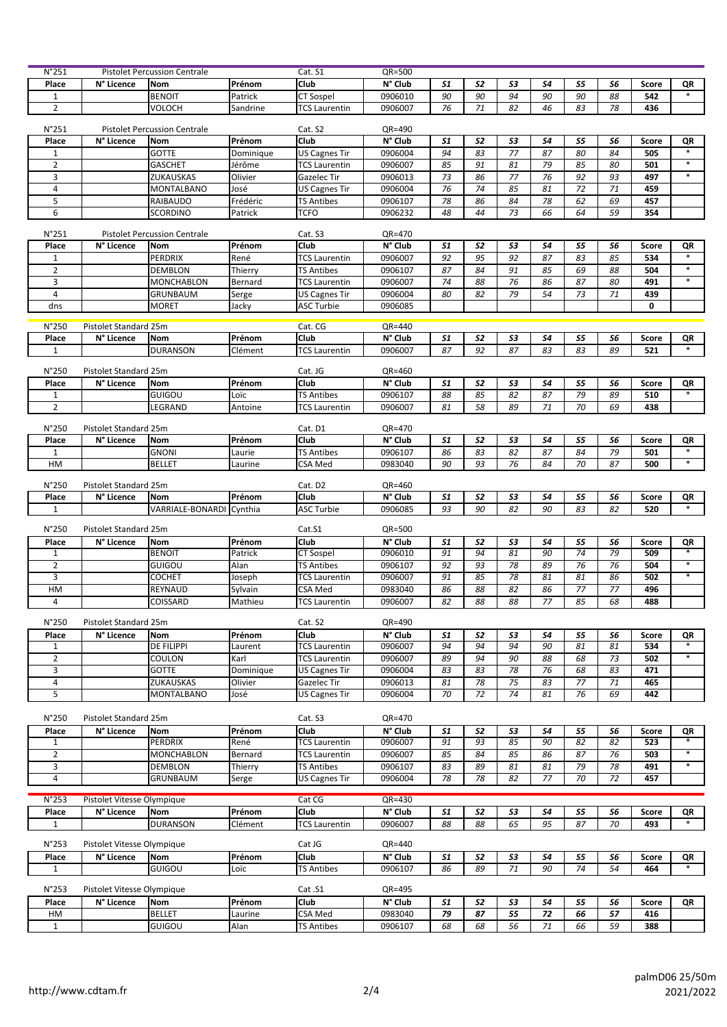| N°251                 |                            | <b>Pistolet Percussion Centrale</b> |                 | Cat. S1                                | QR=500             |          |                 |          |           |          |          |              |              |
|-----------------------|----------------------------|-------------------------------------|-----------------|----------------------------------------|--------------------|----------|-----------------|----------|-----------|----------|----------|--------------|--------------|
| Place                 | N° Licence                 | Nom                                 | Prénom          | Club                                   | N° Club            | 51       | 52              | 53       | <b>S4</b> | 55       | 56       | Score        | QR           |
| $1\,$                 |                            | <b>BENOIT</b>                       | Patrick         | <b>CT Sospel</b>                       | 0906010            | 90       | 90              | 94       | 90        | 90       | 88       | 542          |              |
| $\overline{2}$        |                            | VOLOCH                              | Sandrine        | <b>TCS Laurentin</b>                   | 0906007            | 76       | 71              | 82       | 46        | 83       | 78       | 436          |              |
|                       |                            |                                     |                 |                                        |                    |          |                 |          |           |          |          |              |              |
| N°251                 |                            | <b>Pistolet Percussion Centrale</b> |                 | Cat. S2                                | QR=490             |          |                 |          |           |          |          |              |              |
| Place                 | N° Licence                 | <b>Nom</b>                          | Prénom          | Club                                   | N° Club            | 51       | 52              | 53       | 54        | 55       | 56       | <b>Score</b> | QR           |
| $\mathbf{1}$          |                            | <b>GOTTE</b>                        | Dominique       | <b>US Cagnes Tir</b>                   | 0906004            | 94       | 83              | 77       | 87        | 80       | 84       | 505          |              |
| $\overline{2}$        |                            | GASCHET                             | Jérôme          | <b>TCS Laurentin</b>                   | 0906007            | 85       | 91              | 81       | 79        | 85       | 80       | 501          | $\ast$       |
| 3                     |                            | ZUKAUSKAS                           | Olivier         | Gazelec Tir                            | 0906013            | 73       | 86              | 77       | 76        | 92       | 93       | 497          | $\ast$       |
| 4                     |                            | MONTALBANO                          | José            | US Cagnes Tir                          | 0906004            | 76       | 74              | 85       | 81        | 72       | 71       | 459          |              |
| 5                     |                            | RAIBAUDO                            | Frédéric        | TS Antibes                             | 0906107            | 78       | 86              | 84       | 78        | 62       | 69       | 457          |              |
| 6                     |                            | SCORDINO                            | Patrick         | <b>TCFO</b>                            | 0906232            | 48       | 44              | 73       | 66        | 64       | 59       | 354          |              |
| N°251                 |                            | <b>Pistolet Percussion Centrale</b> |                 | Cat. S3                                | QR=470             |          |                 |          |           |          |          |              |              |
| Place                 | N° Licence                 | <b>Nom</b>                          | Prénom          | Club                                   | N° Club            | 51       | 52              | 53       | 54        | 55       | 56       | Score        | QR           |
| $\mathbf{1}$          |                            | PERDRIX                             | René            | <b>TCS Laurentin</b>                   | 0906007            | 92       | 95              | 92       | 87        | 83       | 85       | 534          | $\ast$       |
| $\overline{2}$        |                            | <b>DEMBLON</b>                      | Thierry         | <b>TS Antibes</b>                      | 0906107            | 87       | 84              | 91       | 85        | 69       | 88       | 504          | $\ast$       |
| 3                     |                            | MONCHABLON                          | Bernard         | <b>TCS Laurentin</b>                   | 0906007            | 74       | 88              | 76       | 86        | 87       | 80       | 491          |              |
| $\overline{4}$        |                            | GRUNBAUM                            | Serge           | US Cagnes Tir                          | 0906004            | 80       | 82              | 79       | 54        | 73       | 71       | 439          |              |
| dns                   |                            | MORET                               | Jacky           | <b>ASC Turbie</b>                      | 0906085            |          |                 |          |           |          |          | 0            |              |
|                       |                            |                                     |                 |                                        |                    |          |                 |          |           |          |          |              |              |
| N°250                 | Pistolet Standard 25m      |                                     |                 | Cat. CG                                | QR=440             |          |                 |          |           |          |          |              |              |
| Place                 | N° Licence                 | <b>Nom</b>                          | Prénom          | Club                                   | N° Club            | 51       | 52              | 53       | 54        | 55       | 56       | Score        | QR           |
| $\mathbf{1}$          |                            | <b>DURANSON</b>                     | Clément         | <b>TCS Laurentin</b>                   | 0906007            | 87       | 92              | 87       | 83        | 83       | 89       | 521          |              |
|                       |                            |                                     |                 |                                        |                    |          |                 |          |           |          |          |              |              |
| N°250                 | Pistolet Standard 25m      |                                     |                 | Cat. JG                                | QR=460<br>N° Club  |          |                 |          |           |          |          |              |              |
| Place<br>$\mathbf{1}$ | N° Licence                 | <b>Nom</b>                          | Prénom          | Club<br><b>TS Antibes</b>              |                    | 51<br>88 | 52<br>85        | 53<br>82 | 54<br>87  | 55<br>79 | 56<br>89 | Score<br>510 | QR           |
| $\overline{2}$        |                            | GUIGOU                              | Loïc            |                                        | 0906107            | 81       | 58              | 89       | 71        | 70       | 69       | 438          |              |
|                       |                            | LEGRAND                             | Antoine         | <b>TCS Laurentin</b>                   | 0906007            |          |                 |          |           |          |          |              |              |
| N°250                 | Pistolet Standard 25m      |                                     |                 | Cat. D1                                | QR=470             |          |                 |          |           |          |          |              |              |
| Place                 | N° Licence                 | Nom                                 | Prénom          | Club                                   | N° Club            | 51       | 52              | 53       | S4        | S5       | 56       | <b>Score</b> | QR           |
| $\mathbf{1}$          |                            | <b>GNONI</b>                        | Laurie          | <b>TS Antibes</b>                      | 0906107            | 86       | 83              | 82       | 87        | 84       | 79       | 501          | $\ast$       |
| HM                    |                            | <b>BELLET</b>                       | Laurine         | CSA Med                                | 0983040            | 90       | 93              | 76       | 84        | 70       | 87       | 500          | $\ast$       |
|                       |                            |                                     |                 |                                        |                    |          |                 |          |           |          |          |              |              |
| N°250                 | Pistolet Standard 25m      |                                     |                 | Cat. D2                                | QR=460             |          |                 |          |           |          |          |              |              |
| Place                 | N° Licence                 | Nom                                 | Prénom          | Club                                   | N° Club            | 51       | 52              | 53       | 54        | 55       | 56       | Score        | QR           |
| 1                     |                            |                                     |                 |                                        |                    |          |                 |          |           |          |          |              |              |
|                       |                            | VARRIALE-BONARDI                    | Cynthia         | <b>ASC Turbie</b>                      | 0906085            | 93       | 90              | 82       | 90        | 83       | 82       | 520          |              |
|                       |                            |                                     |                 |                                        |                    |          |                 |          |           |          |          |              |              |
| N°250                 | Pistolet Standard 25m      |                                     |                 | Cat.S1                                 | QR=500             |          |                 |          |           |          |          |              |              |
| Place                 | N° Licence                 | Nom                                 | Prénom          | Club                                   | N° Club            | 51       | 52              | 53       | 54        | 55       | 56       | Score        | QR<br>$\ast$ |
| 1                     |                            | <b>BENOIT</b>                       | Patrick         | CT Sospel                              | 0906010            | 91       | 94              | 81       | 90        | 74       | 79       | 509          | $\ast$       |
| $\overline{2}$        |                            | GUIGOU                              | Alan            | TS Antibes                             | 0906107            | 92       | 93              | 78       | 89        | 76       | 76       | 504          |              |
| 3                     |                            | COCHET                              | Joseph          | <b>TCS Laurentin</b><br><b>CSA Med</b> | 0906007            | 91       | 85              | 78       | 81        | 81       | 86       | 502          |              |
| HM<br>4               |                            | REYNAUD                             | Sylvain         |                                        | 0983040            | 86       | 88              | 82<br>88 | 86        | 77       | 77       | 496          |              |
|                       |                            | COISSARD                            | Mathieu         | <b>TCS Laurentin</b>                   | 0906007            | 82       | 88              |          | 77        | 85       | 68       | 488          |              |
| N°250                 | Pistolet Standard 25m      |                                     |                 | Cat. S2                                | QR=490             |          |                 |          |           |          |          |              |              |
| Place                 | N° Licence                 | Nom                                 | Prénom          | Club                                   | N° Club            | 51       | 52              | 53       | 54        | 55       | 56       | Score        | QR           |
| $\mathbf{1}$          |                            | DE FILIPPI                          | Laurent         | <b>TCS Laurentin</b>                   | 0906007            | 94       | 94              | 94       | 90        | 81       | 81       | 534          |              |
| $\overline{2}$        |                            | COULON                              | Karl            | <b>TCS Laurentin</b>                   | 0906007            | 89       | 94              | 90       | 88        | 68       | 73       | 502          | $*$          |
| 3                     |                            | <b>GOTTE</b>                        | Dominique       | <b>US Cagnes Tir</b>                   | 0906004            | 83       | 83              | 78       | 76        | 68       | 83       | 471          |              |
| 4                     |                            | ZUKAUSKAS                           | Olivier         | Gazelec Tir                            | 0906013            | 81       | 78              | 75       | 83        | 77       | 71       | 465          |              |
| 5                     |                            | <b>MONTALBANO</b>                   | José            | <b>US Cagnes Tir</b>                   | 0906004            | 70       | $\overline{72}$ | 74       | 81        | 76       | 69       | 442          |              |
|                       |                            |                                     |                 |                                        |                    |          |                 |          |           |          |          |              |              |
| N°250                 | Pistolet Standard 25m      |                                     |                 | Cat. S3                                | QR=470             |          |                 |          |           |          |          |              |              |
| Place                 | N° Licence                 | Nom                                 | Prénom          | Club                                   | N° Club            | 51       | 52              | 53       | 54        | 55       | 56       | Score        | QR           |
| $\mathbf{1}$          |                            | <b>PERDRIX</b>                      | René            | <b>TCS Laurentin</b>                   | 0906007            | 91       | 93              | 85       | 90        | 82       | 82       | 523          |              |
| $\overline{2}$        |                            | <b>MONCHABLON</b>                   | Bernard         | <b>TCS Laurentin</b>                   | 0906007            | 85       | 84              | 85       | 86        | 87       | 76       | 503          | $\ast$       |
| 3                     |                            | <b>DEMBLON</b>                      | Thierry         | TS Antibes                             | 0906107            | 83       | 89              | 81       | 81        | 79       | 78       | 491          | $\ast$       |
| 4                     |                            | GRUNBAUM                            | Serge           | US Cagnes Tir                          | 0906004            | 78       | 78              | 82       | 77        | 70       | 72       | 457          |              |
|                       |                            |                                     |                 |                                        |                    |          |                 |          |           |          |          |              |              |
| $N^{\circ}253$        | Pistolet Vitesse Olympique |                                     |                 | Cat CG                                 | $QR=430$           |          |                 |          |           |          |          |              |              |
| Place<br>1            | N° Licence                 | <b>Nom</b><br><b>DURANSON</b>       | Prénom          | Club                                   | N° Club<br>0906007 | 51<br>88 | S2<br>88        | 53<br>65 | S4<br>95  | S5<br>87 | 56<br>70 | Score<br>493 | QR           |
|                       |                            |                                     | Clément         | <b>TCS Laurentin</b>                   |                    |          |                 |          |           |          |          |              |              |
| N°253                 | Pistolet Vitesse Olympique |                                     |                 | Cat JG                                 | QR=440             |          |                 |          |           |          |          |              |              |
| Place                 | N° Licence                 | <b>Nom</b>                          | Prénom          | Club                                   | N° Club            | 51       | S2              | 53       | S4        | S5       | 56       | Score        | QR           |
| $\mathbf{1}$          |                            | GUIGOU                              | Loïc            | <b>TS Antibes</b>                      | 0906107            | 86       | 89              | 71       | 90        | 74       | 54       | 464          | $\ast$       |
|                       |                            |                                     |                 |                                        |                    |          |                 |          |           |          |          |              |              |
| N°253                 | Pistolet Vitesse Olympique |                                     |                 | Cat .S1                                | QR=495             |          |                 |          |           |          |          |              |              |
| Place                 | N° Licence                 | <b>Nom</b>                          | Prénom          | Club                                   | N° Club            | 51       | 52              | 53       | 54        | 55       | 56       | Score        | QR           |
| НM<br>$\mathbf{1}$    |                            | <b>BELLET</b><br>GUIGOU             | Laurine<br>Alan | CSA Med<br><b>TS Antibes</b>           | 0983040<br>0906107 | 79<br>68 | 87<br>68        | 55<br>56 | 72<br>71  | 66<br>66 | 57<br>59 | 416<br>388   |              |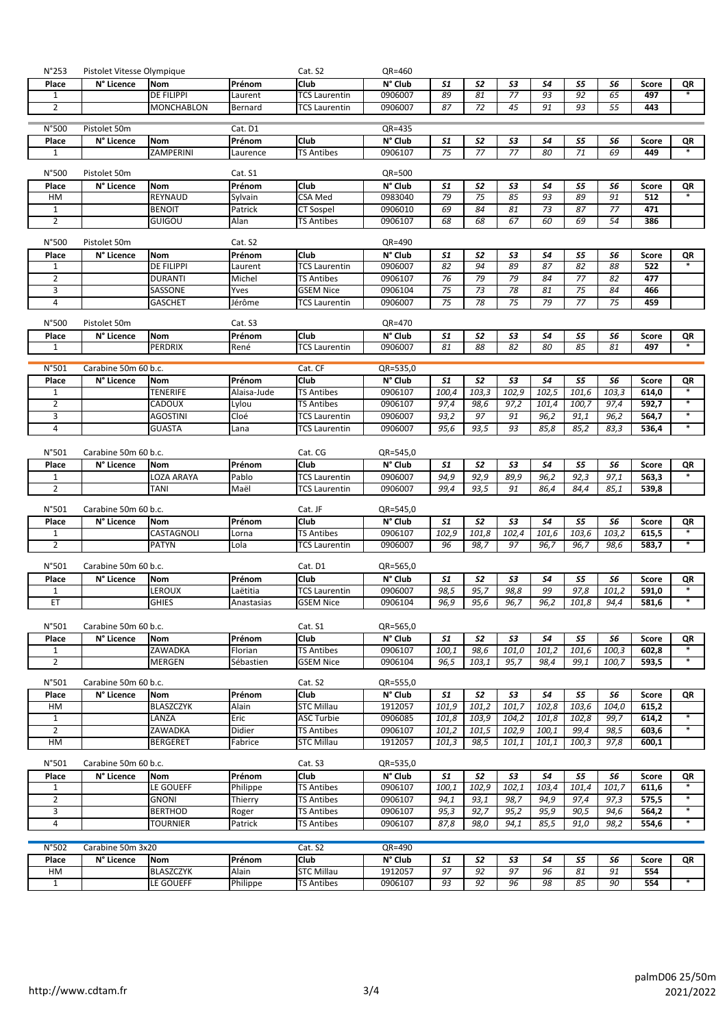| $N^{\circ}$ 253    | Pistolet Vitesse Olympique |                                 |                   | Cat. S2                           | QR=460              |              |              |              |                 |                    |               |                |                  |
|--------------------|----------------------------|---------------------------------|-------------------|-----------------------------------|---------------------|--------------|--------------|--------------|-----------------|--------------------|---------------|----------------|------------------|
| Place              | N° Licence                 | <b>Nom</b>                      | Prénom            | Club                              | N° Club             | <b>S1</b>    | 52           | 53           | <b>S4</b>       | S5                 | 56            | Score          | QR               |
| 1                  |                            | <b>DE FILIPPI</b>               | Laurent           | <b>TCS</b> Laurentin              | 0906007             | 89           | 81           | 77           | 93              | 92                 | 65            | 497            |                  |
| 2                  |                            | <b>MONCHABLON</b>               | Bernard           | <b>TCS Laurentin</b>              | 0906007             | 87           | 72           | 45           | 91              | 93                 | 55            | 443            |                  |
| $N°$ 500           | Pistolet 50m               |                                 | Cat. D1           |                                   | QR=435              |              |              |              |                 |                    |               |                |                  |
| Place              | N° Licence                 | <b>Nom</b>                      | Prénom            | Club                              | N° Club             | 51           | 52           | 53           | S4              | S5                 | S6            | Score          | QR               |
| 1                  |                            | ZAMPERINI                       | Laurence          | <b>TS Antibes</b>                 | 0906107             | 75           | 77           | 77           | 80              | 71                 | 69            | 449            | $\ast$           |
|                    |                            |                                 |                   |                                   |                     |              |              |              |                 |                    |               |                |                  |
| N°500<br>Place     | Pistolet 50m<br>N° Licence | Nom                             | Cat. S1<br>Prénom | Club                              | QR=500<br>N° Club   | 51           | 52           | 53           | 54              | S5                 | 56            | Score          | QR               |
| НM                 |                            | REYNAUD                         | Sylvain           | <b>CSA Med</b>                    | 0983040             | 79           | 75           | 85           | $\overline{93}$ | 89                 | 91            | 512            |                  |
| 1                  |                            | <b>BENOIT</b>                   | Patrick           | <b>CT Sospel</b>                  | 0906010             | 69           | 84           | 81           | 73              | 87                 | 77            | 471            |                  |
| $\overline{2}$     |                            | GUIGOU                          | Alan              | <b>TS Antibes</b>                 | 0906107             | 68           | 68           | 67           | 60              | 69                 | 54            | 386            |                  |
|                    |                            |                                 |                   |                                   |                     |              |              |              |                 |                    |               |                |                  |
| N°500              | Pistolet 50m               |                                 | Cat. S2           |                                   | QR=490              |              |              |              |                 |                    |               |                |                  |
| Place<br>1         | N° Licence                 | <b>Nom</b><br><b>DE FILIPPI</b> | Prénom<br>Laurent | Club<br><b>TCS Laurentin</b>      | N° Club<br>0906007  | 51<br>82     | 52<br>94     | 53<br>89     | 54<br>87        | S5<br>82           | 56<br>88      | Score<br>522   | QR<br>$\ast$     |
| $\overline{2}$     |                            | <b>DURANTI</b>                  | Michel            | TS Antibes                        | 0906107             | 76           | 79           | 79           | 84              | 77                 | 82            | 477            |                  |
| 3                  |                            | SASSONE                         | Yves              | <b>GSEM Nice</b>                  | 0906104             | 75           | 73           | 78           | 81              | 75                 | 84            | 466            |                  |
| 4                  |                            | <b>GASCHET</b>                  | Jérôme            | <b>TCS Laurentin</b>              | 0906007             | 75           | 78           | 75           | 79              | 77                 | 75            | 459            |                  |
|                    |                            |                                 |                   |                                   |                     |              |              |              |                 |                    |               |                |                  |
| N°500              | Pistolet 50m               |                                 | Cat. S3           |                                   | QR=470              |              |              |              |                 |                    |               |                |                  |
| Place              | N° Licence                 | Nom                             | Prénom            | Club                              | N° Club             | 51           | 52           | 53           | 54              | 55                 | 56            | <b>Score</b>   | QR               |
| 1                  |                            | PERDRIX                         | René              | <b>TCS Laurentin</b>              | 0906007             | 81           | 88           | 82           | 80              | 85                 | 81            | 497            |                  |
| N°501              | Carabine 50m 60 b.c.       |                                 |                   | Cat. CF                           | QR=535,0            |              |              |              |                 |                    |               |                |                  |
| Place              | N° Licence                 | Nom                             | Prénom            | Club                              | N° Club             | 51           | 52           | 53           | 54              | S5                 | 56            | Score          | QR               |
| 1                  |                            | <b>TENERIFE</b>                 | Alaisa-Jude       | <b>TS Antibes</b>                 | 0906107             | 100,4        | 103,3        | 102,9        | 102,5           | 101,6              | 103,3         | 614,0          |                  |
| $\overline{2}$     |                            | <b>CADOUX</b>                   | Lylou             | <b>TS Antibes</b>                 | 0906107             | 97,4         | 98,6         | 97,2         | 101,4           | 100,7              | 97,4          | 592,7          | $\ast$           |
| 3                  |                            | AGOSTINI                        | Cloé              | <b>TCS Laurentin</b>              | 0906007             | 93,2         | 97           | 91           | 96,2            | 91,1               | 96,2          | 564,7          |                  |
| $\overline{4}$     |                            | <b>GUASTA</b>                   | Lana              | <b>TCS Laurentin</b>              | 0906007             | 95,6         | 93,5         | 93           | 85,8            | 85,2               | 83,3          | 536,4          |                  |
| N°501              | Carabine 50m 60 b.c.       |                                 |                   | Cat. CG                           | QR=545,0            |              |              |              |                 |                    |               |                |                  |
| Place              | N° Licence                 | Nom                             | Prénom            | Club                              | N° Club             | 51           | 52           | 53           | 54              | S5                 | S6            | Score          | QR               |
| 1                  |                            | LOZA ARAYA                      | Pablo             | <b>TCS Laurentin</b>              | 0906007             | 94,9         | 92,9         | 89,9         | 96,2            | 92,3               | 97,1          | 563,3          | $\ast$           |
| $\overline{2}$     |                            | TANI                            | Maël              | <b>TCS Laurentin</b>              | 0906007             | 99,4         | 93,5         | 91           | 86,4            | 84,4               | 85,1          | 539,8          |                  |
|                    |                            |                                 |                   |                                   |                     |              |              |              |                 |                    |               |                |                  |
| N°501              | Carabine 50m 60 b.c.       |                                 |                   | Cat. JF                           | QR=545,0            |              |              |              |                 |                    |               |                |                  |
| Place<br>1         | N° Licence                 | <b>Nom</b><br>CASTAGNOLI        | Prénom<br>Lorna   | Club<br>TS Antibes                | N° Club<br>0906107  | 51<br>102,9  | 52<br>101,8  | 53<br>102,4  | 54<br>101,6     | <b>S5</b><br>103,6 | S6<br>103,2   | Score<br>615,5 | QR               |
| $\overline{2}$     |                            | <b>PATYN</b>                    | Lola              | TCS Laurentin                     | 0906007             | 96           | 98,7         | 97           | 96,7            | 96,7               | 98,6          | 583,7          |                  |
|                    |                            |                                 |                   |                                   |                     |              |              |              |                 |                    |               |                |                  |
| N°501              | Carabine 50m 60 b.c.       |                                 |                   | Cat. D1                           | QR=565,0            |              |              |              |                 |                    |               |                |                  |
| Place              | N° Licence                 | Nom                             | Prénom            | Club                              | N° Club             | 51           | 52           | 53           | 54              | S5                 | 56            | Score          | QR               |
| 1<br>ET            |                            | <b>LEROUX</b><br><b>GHIES</b>   | Laëtitia          | TCS Laurentin<br><b>GSEM Nice</b> | 0906007<br>0906104  | 98,5<br>96,9 | 95,7<br>95,6 | 98,8<br>96,7 | 99<br>96,2      | 97,8<br>101,8      | 101,2<br>94,4 | 591,0<br>581,6 | $\ast$<br>$\ast$ |
|                    |                            |                                 | Anastasias        |                                   |                     |              |              |              |                 |                    |               |                |                  |
| N°501              | Carabine 50m 60 b.c.       |                                 |                   | Cat. S1                           | QR=565,0            |              |              |              |                 |                    |               |                |                  |
| Place              | N° Licence                 | <b>Nom</b>                      | Prénom            | Club                              | N° Club             | 51           | 52           | 53           | 54              | S5                 | 56            | Score          | QR               |
| $\mathbf{1}$       |                            | ZAWADKA                         | Florian           | <b>TS Antibes</b>                 | 0906107             | 100,1        | 98,6         | 101,0        | 101,2           | 101,6              | 100,3         | 602,8          |                  |
| $\overline{2}$     |                            | <b>MERGEN</b>                   | Sébastien         | <b>GSEM Nice</b>                  | 0906104             | 96,5         | 103,1        | 95,7         | 98,4            | 99,1               | 100,7         | 593,5          | $\ast$           |
| N°501              | Carabine 50m 60 b.c.       |                                 |                   | Cat. S2                           | QR=555,0            |              |              |              |                 |                    |               |                |                  |
| Place              | N° Licence                 | Nom                             | Prénom            | Club                              | N° Club             | 51           | 52           | 53           | <b>S4</b>       | S5                 | 56            | Score          | QR               |
| HМ                 |                            | <b>BLASZCZYK</b>                | Alain             | <b>STC Millau</b>                 | 1912057             | 101,9        | 101,2        | 101,7        | 102,8           | 103,6              | 104,0         | 615,2          |                  |
| $\mathbf{1}$       |                            | LANZA                           | Eric              | <b>ASC Turbie</b>                 | 0906085             | 101,8        | 103,9        | 104,2        | 101,8           | 102,8              | 99,7          | 614,2          | $\ast$           |
| $\overline{2}$     |                            | ZAWADKA                         | Didier            | <b>TS Antibes</b>                 | 0906107             | 101,2        | 101,5        | 102,9        | 100,1           | 99,4               | 98,5          | 603,6          | $\ast$           |
| НM                 |                            | <b>BERGERET</b>                 | Fabrice           | STC Millau                        | 1912057             | 101,3        | 98,5         | 101,1        | 101,1           | 100,3              | 97,8          | 600,1          |                  |
|                    | Carabine 50m 60 b.c.       |                                 |                   |                                   |                     |              |              |              |                 |                    |               |                |                  |
| N°501<br>Place     | N° Licence                 | Nom                             | Prénom            | Cat. S3<br>Club                   | QR=535,0<br>N° Club | 51           | 52           | 53           | 54              | S5                 | 56            | Score          | QR               |
| 1                  |                            | LE GOUEFF                       | Philippe          | <b>TS Antibes</b>                 | 0906107             | 100,1        | 102,9        | 102,1        | 103,4           | 101,4              | 101,7         | 611,6          |                  |
| $\overline{2}$     |                            | <b>GNONI</b>                    | Thierry           | <b>TS Antibes</b>                 | 0906107             | 94,1         | 93,1         | 98,7         | 94,9            | 97,4               | 97,3          | 575,5          | $\ast$           |
| 3                  |                            | <b>BERTHOD</b>                  | Roger             | TS Antibes                        | 0906107             | 95,3         | 92,7         | 95,2         | 95,9            | 90,5               | 94,6          | 564,2          | $\ast$           |
| 4                  |                            | TOURNIER                        | Patrick           | TS Antibes                        | 0906107             | 87,8         | 98,0         | 94,1         | 85,5            | 91,0               | 98,2          | 554,6          | $\ast$           |
|                    |                            |                                 |                   |                                   |                     |              |              |              |                 |                    |               |                |                  |
| N°502              | Carabine 50m 3x20          |                                 |                   | Cat. S2                           | QR=490              |              |              |              |                 |                    |               |                |                  |
| Place              | N° Licence                 | <b>Nom</b>                      | Prénom            | Club                              | N° Club             | 51           | 52           | 53           | 54              | S5                 | 56            | Score          | QR               |
|                    |                            |                                 |                   |                                   |                     |              |              |              |                 |                    |               |                |                  |
| НM<br>$\mathbf{1}$ |                            | <b>BLASZCZYK</b><br>LE GOUEFF   | Alain<br>Philippe | <b>STC Millau</b><br>TS Antibes   | 1912057<br>0906107  | 97<br>93     | 92<br>92     | 97<br>96     | 96<br>98        | 81<br>85           | 91<br>90      | 554<br>554     | $\ast$           |